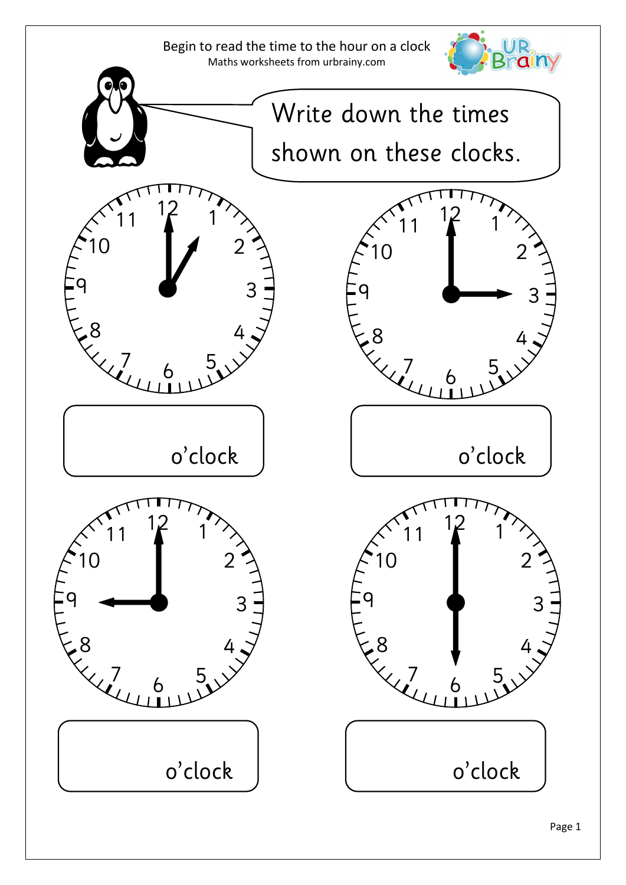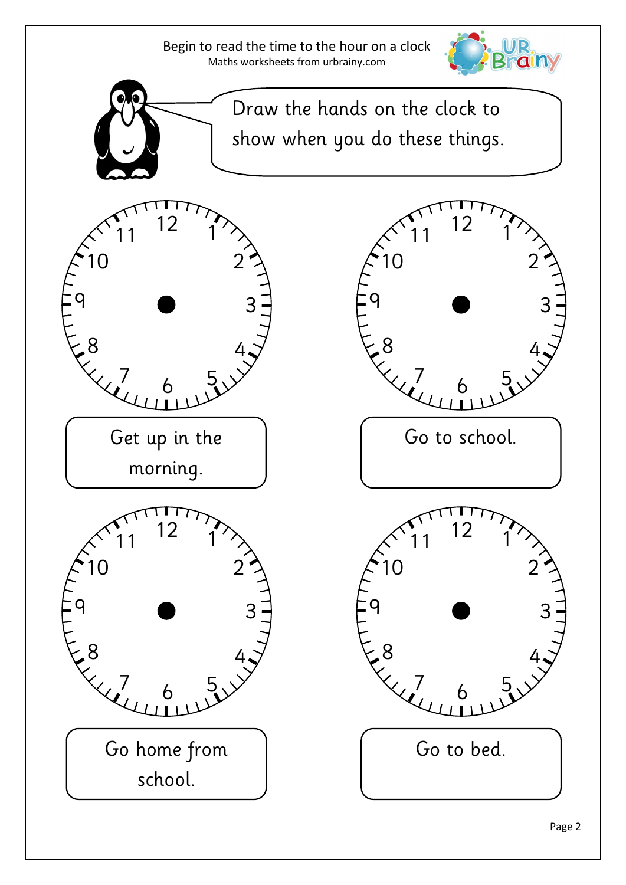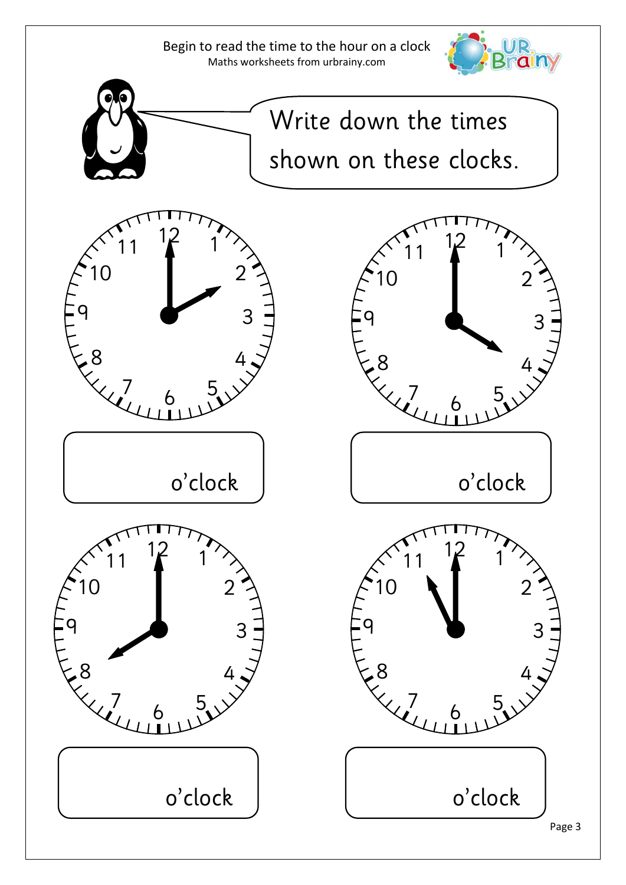